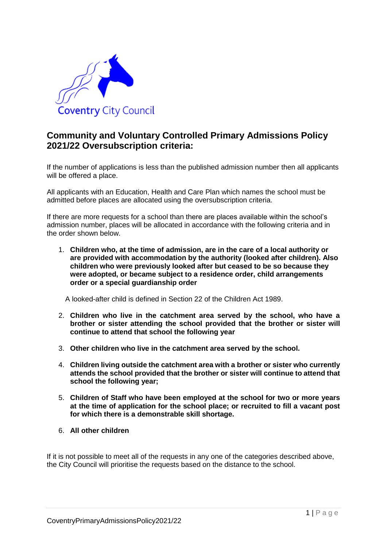

# **Community and Voluntary Controlled Primary Admissions Policy 2021/22 Oversubscription criteria:**

If the number of applications is less than the published admission number then all applicants will be offered a place.

All applicants with an Education, Health and Care Plan which names the school must be admitted before places are allocated using the oversubscription criteria.

If there are more requests for a school than there are places available within the school's admission number, places will be allocated in accordance with the following criteria and in the order shown below.

1. **Children who, at the time of admission, are in the care of a local authority or are provided with accommodation by the authority (looked after children). Also children who were previously looked after but ceased to be so because they were adopted, or became subject to a residence order, child arrangements order or a special guardianship order**

A looked-after child is defined in Section 22 of the Children Act 1989.

- 2. **Children who live in the catchment area served by the school, who have a brother or sister attending the school provided that the brother or sister will continue to attend that school the following year**
- 3. **Other children who live in the catchment area served by the school.**
- 4. **Children living outside the catchment area with a brother or sister who currently attends the school provided that the brother or sister will continue to attend that school the following year;**
- 5. **Children of Staff who have been employed at the school for two or more years at the time of application for the school place; or recruited to fill a vacant post for which there is a demonstrable skill shortage.**
- 6. **All other children**

If it is not possible to meet all of the requests in any one of the categories described above, the City Council will prioritise the requests based on the distance to the school.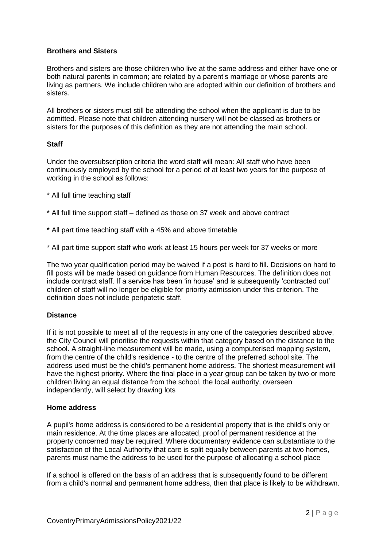### **Brothers and Sisters**

Brothers and sisters are those children who live at the same address and either have one or both natural parents in common; are related by a parent's marriage or whose parents are living as partners. We include children who are adopted within our definition of brothers and sisters.

All brothers or sisters must still be attending the school when the applicant is due to be admitted. Please note that children attending nursery will not be classed as brothers or sisters for the purposes of this definition as they are not attending the main school.

### **Staff**

Under the oversubscription criteria the word staff will mean: All staff who have been continuously employed by the school for a period of at least two years for the purpose of working in the school as follows:

- \* All full time teaching staff
- \* All full time support staff defined as those on 37 week and above contract
- \* All part time teaching staff with a 45% and above timetable
- \* All part time support staff who work at least 15 hours per week for 37 weeks or more

The two year qualification period may be waived if a post is hard to fill. Decisions on hard to fill posts will be made based on guidance from Human Resources. The definition does not include contract staff. If a service has been 'in house' and is subsequently 'contracted out' children of staff will no longer be eligible for priority admission under this criterion. The definition does not include peripatetic staff.

### **Distance**

If it is not possible to meet all of the requests in any one of the categories described above, the City Council will prioritise the requests within that category based on the distance to the school. A straight-line measurement will be made, using a computerised mapping system, from the centre of the child's residence - to the centre of the preferred school site. The address used must be the child's permanent home address. The shortest measurement will have the highest priority. Where the final place in a year group can be taken by two or more children living an equal distance from the school, the local authority, overseen independently, will select by drawing lots

### **Home address**

A pupil's home address is considered to be a residential property that is the child's only or main residence. At the time places are allocated, proof of permanent residence at the property concerned may be required. Where documentary evidence can substantiate to the satisfaction of the Local Authority that care is split equally between parents at two homes, parents must name the address to be used for the purpose of allocating a school place

If a school is offered on the basis of an address that is subsequently found to be different from a child's normal and permanent home address, then that place is likely to be withdrawn.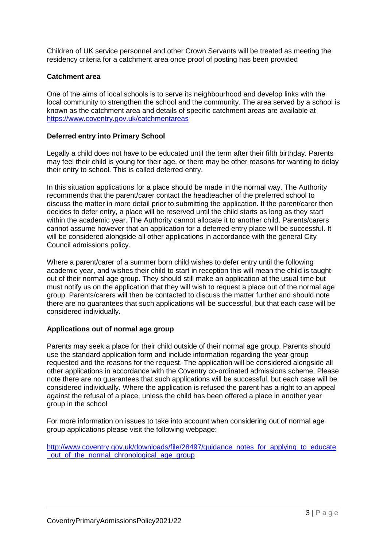Children of UK service personnel and other Crown Servants will be treated as meeting the residency criteria for a catchment area once proof of posting has been provided

### **Catchment area**

One of the aims of local schools is to serve its neighbourhood and develop links with the local community to strengthen the school and the community. The area served by a school is known as the catchment area and details of specific catchment areas are available at <https://www.coventry.gov.uk/catchmentareas>

### **Deferred entry into Primary School**

Legally a child does not have to be educated until the term after their fifth birthday. Parents may feel their child is young for their age, or there may be other reasons for wanting to delay their entry to school. This is called deferred entry.

In this situation applications for a place should be made in the normal way. The Authority recommends that the parent/carer contact the headteacher of the preferred school to discuss the matter in more detail prior to submitting the application. If the parent/carer then decides to defer entry, a place will be reserved until the child starts as long as they start within the academic year. The Authority cannot allocate it to another child. Parents/carers cannot assume however that an application for a deferred entry place will be successful. It will be considered alongside all other applications in accordance with the general City Council admissions policy.

Where a parent/carer of a summer born child wishes to defer entry until the following academic year, and wishes their child to start in reception this will mean the child is taught out of their normal age group. They should still make an application at the usual time but must notify us on the application that they will wish to request a place out of the normal age group. Parents/carers will then be contacted to discuss the matter further and should note there are no guarantees that such applications will be successful, but that each case will be considered individually.

### **Applications out of normal age group**

Parents may seek a place for their child outside of their normal age group. Parents should use the standard application form and include information regarding the year group requested and the reasons for the request. The application will be considered alongside all other applications in accordance with the Coventry co-ordinated admissions scheme. Please note there are no guarantees that such applications will be successful, but each case will be considered individually. Where the application is refused the parent has a right to an appeal against the refusal of a place, unless the child has been offered a place in another year group in the school

For more information on issues to take into account when considering out of normal age group applications please visit the following webpage:

[http://www.coventry.gov.uk/downloads/file/28497/guidance\\_notes\\_for\\_applying\\_to\\_educate](http://www.coventry.gov.uk/downloads/file/28497/guidance_notes_for_applying_to_educate_out_of_the_normal_chronological_age_group) out of the normal chronological age group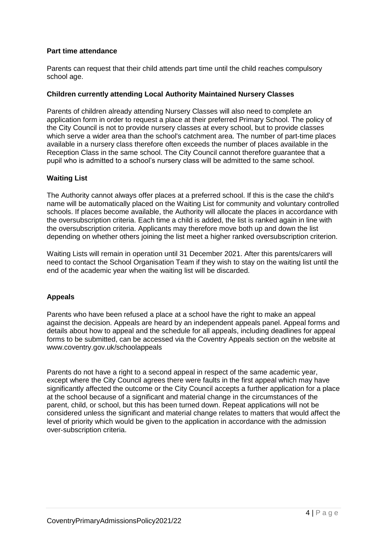### **Part time attendance**

Parents can request that their child attends part time until the child reaches compulsory school age.

### **Children currently attending Local Authority Maintained Nursery Classes**

Parents of children already attending Nursery Classes will also need to complete an application form in order to request a place at their preferred Primary School. The policy of the City Council is not to provide nursery classes at every school, but to provide classes which serve a wider area than the school's catchment area. The number of part-time places available in a nursery class therefore often exceeds the number of places available in the Reception Class in the same school. The City Council cannot therefore guarantee that a pupil who is admitted to a school's nursery class will be admitted to the same school.

### **Waiting List**

The Authority cannot always offer places at a preferred school. If this is the case the child's name will be automatically placed on the Waiting List for community and voluntary controlled schools. If places become available, the Authority will allocate the places in accordance with the oversubscription criteria. Each time a child is added, the list is ranked again in line with the oversubscription criteria. Applicants may therefore move both up and down the list depending on whether others joining the list meet a higher ranked oversubscription criterion.

Waiting Lists will remain in operation until 31 December 2021. After this parents/carers will need to contact the School Organisation Team if they wish to stay on the waiting list until the end of the academic year when the waiting list will be discarded.

### **Appeals**

Parents who have been refused a place at a school have the right to make an appeal against the decision. Appeals are heard by an independent appeals panel. Appeal forms and details about how to appeal and the schedule for all appeals, including deadlines for appeal forms to be submitted, can be accessed via the Coventry Appeals section on the website at www.coventry.gov.uk/schoolappeals

Parents do not have a right to a second appeal in respect of the same academic year, except where the City Council agrees there were faults in the first appeal which may have significantly affected the outcome or the City Council accepts a further application for a place at the school because of a significant and material change in the circumstances of the parent, child, or school, but this has been turned down. Repeat applications will not be considered unless the significant and material change relates to matters that would affect the level of priority which would be given to the application in accordance with the admission over-subscription criteria.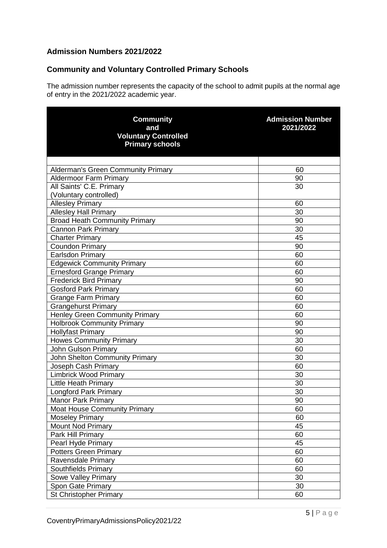## **Admission Numbers 2021/2022**

# **Community and Voluntary Controlled Primary Schools**

The admission number represents the capacity of the school to admit pupils at the normal age of entry in the 2021/2022 academic year.

| <b>Community</b><br>and<br><b>Voluntary Controlled</b><br><b>Primary schools</b> | <b>Admission Number</b><br>2021/2022 |
|----------------------------------------------------------------------------------|--------------------------------------|
|                                                                                  |                                      |
| <b>Alderman's Green Community Primary</b>                                        | 60                                   |
| <b>Aldermoor Farm Primary</b>                                                    | 90                                   |
| All Saints' C.E. Primary                                                         | 30                                   |
| (Voluntary controlled)                                                           |                                      |
| <b>Allesley Primary</b>                                                          | 60                                   |
| <b>Allesley Hall Primary</b>                                                     | 30                                   |
| <b>Broad Heath Community Primary</b>                                             | 90                                   |
| <b>Cannon Park Primary</b>                                                       | 30                                   |
| <b>Charter Primary</b>                                                           | 45                                   |
| <b>Coundon Primary</b>                                                           | 90                                   |
| <b>Earlsdon Primary</b>                                                          | 60                                   |
| <b>Edgewick Community Primary</b>                                                | 60                                   |
| <b>Ernesford Grange Primary</b>                                                  | 60                                   |
| <b>Frederick Bird Primary</b>                                                    | 90                                   |
| <b>Gosford Park Primary</b>                                                      | 60                                   |
| <b>Grange Farm Primary</b>                                                       | 60                                   |
| Grangehurst Primary                                                              | 60                                   |
| <b>Henley Green Community Primary</b>                                            | 60                                   |
| <b>Holbrook Community Primary</b>                                                | 90                                   |
| <b>Hollyfast Primary</b>                                                         | 90                                   |
| <b>Howes Community Primary</b>                                                   | 30                                   |
| <b>John Gulson Primary</b>                                                       | 60                                   |
| <b>John Shelton Community Primary</b>                                            | 30                                   |
| Joseph Cash Primary                                                              | 60                                   |
| <b>Limbrick Wood Primary</b>                                                     | 30                                   |
| Little Heath Primary                                                             | 30                                   |
| <b>Longford Park Primary</b>                                                     | 30                                   |
| Manor Park Primary                                                               | 90                                   |
| <b>Moat House Community Primary</b>                                              | 60                                   |
| <b>Moseley Primary</b>                                                           | 60                                   |
| <b>Mount Nod Primary</b>                                                         | 45                                   |
| Park Hill Primary                                                                | 60                                   |
| Pearl Hyde Primary                                                               | 45                                   |
| Potters Green Primary                                                            | 60                                   |
| Ravensdale Primary                                                               | 60                                   |
| Southfields Primary                                                              | 60                                   |
| Sowe Valley Primary                                                              | 30                                   |
| Spon Gate Primary                                                                | 30                                   |
| <b>St Christopher Primary</b>                                                    | 60                                   |